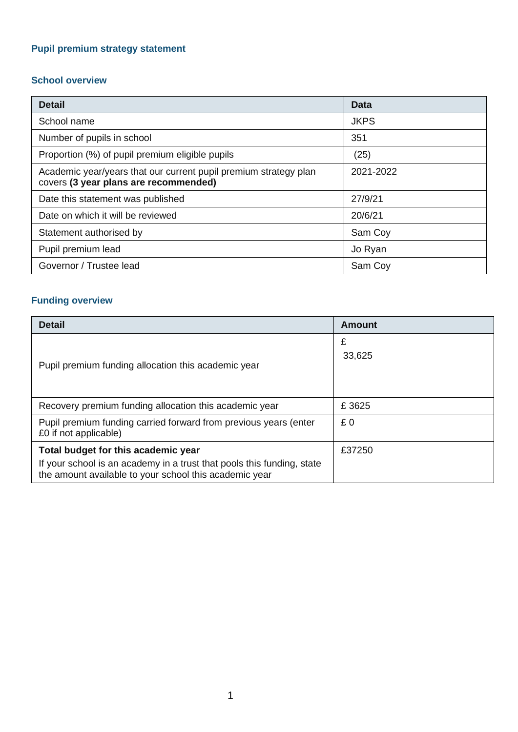# **Pupil premium strategy statement**

## **School overview**

| <b>Detail</b>                                                                                             | Data        |
|-----------------------------------------------------------------------------------------------------------|-------------|
| School name                                                                                               | <b>JKPS</b> |
| Number of pupils in school                                                                                | 351         |
| Proportion (%) of pupil premium eligible pupils                                                           | (25)        |
| Academic year/years that our current pupil premium strategy plan<br>covers (3 year plans are recommended) | 2021-2022   |
| Date this statement was published                                                                         | 27/9/21     |
| Date on which it will be reviewed                                                                         | 20/6/21     |
| Statement authorised by                                                                                   | Sam Coy     |
| Pupil premium lead                                                                                        | Jo Ryan     |
| Governor / Trustee lead                                                                                   | Sam Coy     |

# **Funding overview**

| <b>Detail</b>                                                                                                                    | <b>Amount</b> |
|----------------------------------------------------------------------------------------------------------------------------------|---------------|
| Pupil premium funding allocation this academic year                                                                              | £<br>33,625   |
| Recovery premium funding allocation this academic year                                                                           | £3625         |
| Pupil premium funding carried forward from previous years (enter<br>£0 if not applicable)                                        | £0            |
| Total budget for this academic year                                                                                              | £37250        |
| If your school is an academy in a trust that pools this funding, state<br>the amount available to your school this academic year |               |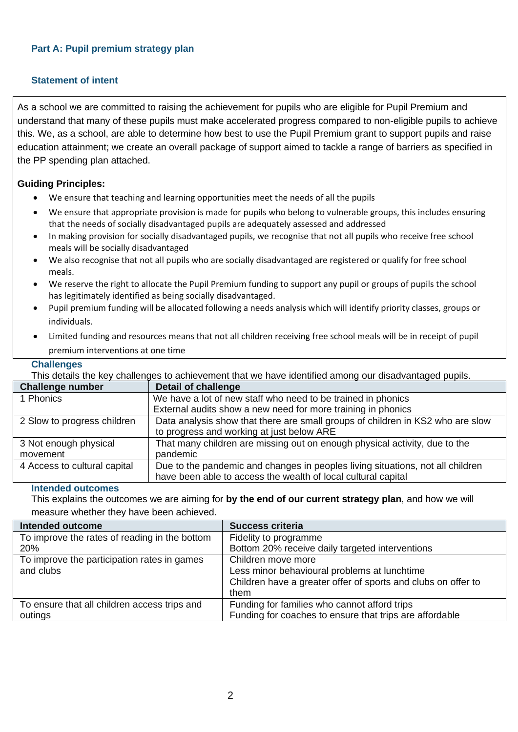### **Part A: Pupil premium strategy plan**

#### **Statement of intent**

As a school we are committed to raising the achievement for pupils who are eligible for Pupil Premium and understand that many of these pupils must make accelerated progress compared to non-eligible pupils to achieve this. We, as a school, are able to determine how best to use the Pupil Premium grant to support pupils and raise education attainment; we create an overall package of support aimed to tackle a range of barriers as specified in the PP spending plan attached.

#### **Guiding Principles:**

- We ensure that teaching and learning opportunities meet the needs of all the pupils
- We ensure that appropriate provision is made for pupils who belong to vulnerable groups, this includes ensuring that the needs of socially disadvantaged pupils are adequately assessed and addressed
- In making provision for socially disadvantaged pupils, we recognise that not all pupils who receive free school meals will be socially disadvantaged
- We also recognise that not all pupils who are socially disadvantaged are registered or qualify for free school meals.
- We reserve the right to allocate the Pupil Premium funding to support any pupil or groups of pupils the school has legitimately identified as being socially disadvantaged.
- Pupil premium funding will be allocated following a needs analysis which will identify priority classes, groups or individuals.
- Limited funding and resources means that not all children receiving free school meals will be in receipt of pupil premium interventions at one time

| This details the key challenges to achievement that we have identified among our disadvantaged pupils. |                                                                                |  |  |  |
|--------------------------------------------------------------------------------------------------------|--------------------------------------------------------------------------------|--|--|--|
| <b>Challenge number</b>                                                                                | <b>Detail of challenge</b>                                                     |  |  |  |
| 1 Phonics                                                                                              | We have a lot of new staff who need to be trained in phonics                   |  |  |  |
|                                                                                                        | External audits show a new need for more training in phonics                   |  |  |  |
| 2 Slow to progress children                                                                            | Data analysis show that there are small groups of children in KS2 who are slow |  |  |  |
|                                                                                                        | to progress and working at just below ARE                                      |  |  |  |
| 3 Not enough physical                                                                                  | That many children are missing out on enough physical activity, due to the     |  |  |  |
| movement                                                                                               | pandemic                                                                       |  |  |  |
| 4 Access to cultural capital                                                                           | Due to the pandemic and changes in peoples living situations, not all children |  |  |  |
|                                                                                                        | have been able to access the wealth of local cultural capital                  |  |  |  |

#### **Challenges**

**Intended outcomes** 

This explains the outcomes we are aiming for **by the end of our current strategy plan**, and how we will measure whether they have been achieved.

| Intended outcome                              | <b>Success criteria</b>                                       |
|-----------------------------------------------|---------------------------------------------------------------|
| To improve the rates of reading in the bottom | Fidelity to programme                                         |
| 20%                                           | Bottom 20% receive daily targeted interventions               |
| To improve the participation rates in games   | Children move more                                            |
| and clubs                                     | Less minor behavioural problems at lunchtime                  |
|                                               | Children have a greater offer of sports and clubs on offer to |
|                                               | them                                                          |
| To ensure that all children access trips and  | Funding for families who cannot afford trips                  |
| outings                                       | Funding for coaches to ensure that trips are affordable       |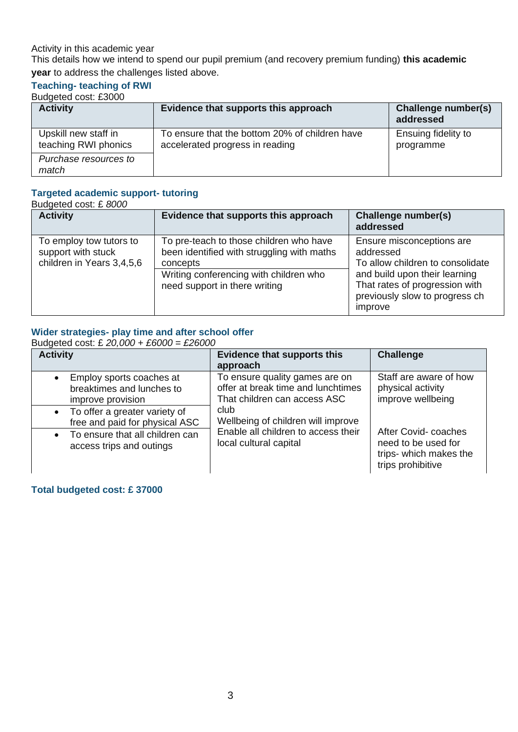### Activity in this academic year

This details how we intend to spend our pupil premium (and recovery premium funding) **this academic year** to address the challenges listed above.

## **Teaching- teaching of RWI**

Budgeted cost: £3000

| <b>Activity</b>                              | Evidence that supports this approach                                              | Challenge number(s)<br>addressed |
|----------------------------------------------|-----------------------------------------------------------------------------------|----------------------------------|
| Upskill new staff in<br>teaching RWI phonics | To ensure that the bottom 20% of children have<br>accelerated progress in reading | Ensuing fidelity to<br>programme |
| Purchase resources to<br>match               |                                                                                   |                                  |

## **Targeted academic support- tutoring**

Budgeted cost: £ *8000*

| <b>Activity</b>                                                            | Evidence that supports this approach                                                                                                                                         | Challenge number(s)<br>addressed                                                                                                                                                           |
|----------------------------------------------------------------------------|------------------------------------------------------------------------------------------------------------------------------------------------------------------------------|--------------------------------------------------------------------------------------------------------------------------------------------------------------------------------------------|
| To employ tow tutors to<br>support with stuck<br>children in Years 3,4,5,6 | To pre-teach to those children who have<br>been identified with struggling with maths<br>concepts<br>Writing conferencing with children who<br>need support in there writing | Ensure misconceptions are<br>addressed<br>To allow children to consolidate<br>and build upon their learning<br>That rates of progression with<br>previously slow to progress ch<br>improve |

#### **Wider strategies- play time and after school offer**

Budgeted cost: £ *20,000 + £6000 = £26000*

| <b>Activity</b>                   | <b>Evidence that supports this</b><br>approach | <b>Challenge</b>       |
|-----------------------------------|------------------------------------------------|------------------------|
| Employ sports coaches at          | To ensure quality games are on                 | Staff are aware of how |
| breaktimes and lunches to         | offer at break time and lunchtimes             | physical activity      |
| improve provision                 | That children can access ASC                   | improve wellbeing      |
| To offer a greater variety of     | club                                           | After Covid-coaches    |
| free and paid for physical ASC    | Wellbeing of children will improve             | need to be used for    |
| • To ensure that all children can | Enable all children to access their            | trips- which makes the |
| access trips and outings          | local cultural capital                         | trips prohibitive      |

#### **Total budgeted cost: £ 37000**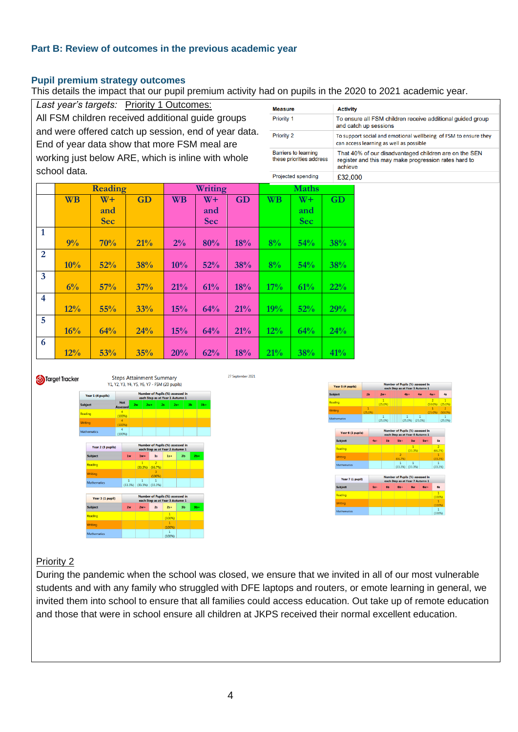### **Part B: Review of outcomes in the previous academic year**

#### **Pupil premium strategy outcomes**

This details the impact that our pupil premium activity had on pupils in the 2020 to 2021 academic year.

|                         | Last year's targets: Priority 1 Outcomes:                                                                     |                                                    |                                              |                              |            |                   |           | <b>Measure</b>                                                                           | <b>Activity</b>    |                                                                                                               |  |  |  |
|-------------------------|---------------------------------------------------------------------------------------------------------------|----------------------------------------------------|----------------------------------------------|------------------------------|------------|-------------------|-----------|------------------------------------------------------------------------------------------|--------------------|---------------------------------------------------------------------------------------------------------------|--|--|--|
|                         | All FSM children received additional guide groups                                                             |                                                    |                                              |                              |            |                   |           | <b>Priority 1</b>                                                                        |                    | To ensure all FSM children receive additional guided group                                                    |  |  |  |
|                         | and were offered catch up session, end of year data.                                                          |                                                    |                                              |                              |            | <b>Priority 2</b> |           | and catch up sessions<br>To support social and emotional wellbeing of FSM to ensure they |                    |                                                                                                               |  |  |  |
|                         |                                                                                                               | End of year data show that more FSM meal are       |                                              |                              |            |                   |           |                                                                                          |                    | can access learning as well as possible                                                                       |  |  |  |
|                         | school data.                                                                                                  | working just below ARE, which is inline with whole |                                              |                              |            |                   |           | <b>Barriers to learning</b><br>these priorities address                                  | achieve            | That 40% of our disadvantaged children are on the SEN<br>register and this may make progression rates hard to |  |  |  |
|                         |                                                                                                               |                                                    |                                              |                              |            |                   |           | <b>Projected spending</b><br>£32,000                                                     |                    |                                                                                                               |  |  |  |
|                         |                                                                                                               | <b>Reading</b>                                     |                                              |                              | Writing    |                   |           | <b>Maths</b>                                                                             |                    |                                                                                                               |  |  |  |
|                         | <b>WB</b>                                                                                                     | $W+$                                               | <b>GD</b>                                    | <b>WB</b>                    | $W+$       | <b>GD</b>         | <b>WB</b> | $W+$                                                                                     | <b>GD</b>          |                                                                                                               |  |  |  |
|                         |                                                                                                               | and                                                |                                              |                              | and        |                   |           | and                                                                                      |                    |                                                                                                               |  |  |  |
|                         |                                                                                                               | <b>Sec</b>                                         |                                              |                              | <b>Sec</b> |                   |           | <b>Sec</b>                                                                               |                    |                                                                                                               |  |  |  |
| 1                       | 9%                                                                                                            | 70%                                                | 21%                                          | $2\%$                        | 80%        | 18%               | 8%        | 54%                                                                                      | 38%                |                                                                                                               |  |  |  |
| $\overline{2}$          |                                                                                                               |                                                    |                                              |                              |            |                   |           |                                                                                          |                    |                                                                                                               |  |  |  |
|                         | 10%                                                                                                           | 52%                                                | 38%                                          | 10%                          | 52%        | 38%               | 8%        | 54%                                                                                      | 38%                |                                                                                                               |  |  |  |
| $\overline{\mathbf{3}}$ | 6%                                                                                                            | 57%                                                | 37%                                          | 21%                          | 61%        | 18%               | 17%       | 61%                                                                                      | 22%                |                                                                                                               |  |  |  |
| 4                       |                                                                                                               |                                                    |                                              |                              |            |                   |           |                                                                                          |                    |                                                                                                               |  |  |  |
|                         | 12%                                                                                                           | 55%                                                | 33%                                          | 15%                          | 64%        | 21%               | 19%       | 52%                                                                                      | 29%                |                                                                                                               |  |  |  |
| 5                       | 16%                                                                                                           | 64%                                                | 24%                                          | 15%                          | 64%        | 21%               | 12%       | 64%                                                                                      | 24%                |                                                                                                               |  |  |  |
| 6                       | 12%                                                                                                           | 53%                                                | 35%                                          | 20%                          | 62%        | 18%               | 21%       | 38%                                                                                      | 41%                |                                                                                                               |  |  |  |
|                         |                                                                                                               |                                                    |                                              |                              |            |                   |           |                                                                                          |                    |                                                                                                               |  |  |  |
|                         | Target Tracker                                                                                                |                                                    | <b>Steps Attainment Summary</b>              |                              |            | 27 September 2021 |           |                                                                                          |                    |                                                                                                               |  |  |  |
|                         |                                                                                                               |                                                    | Y1, Y2, Y3, Y4, Y5, Y6, Y7 - FSM (20 pupils) |                              |            |                   |           |                                                                                          | Year 5 (4 pupils)  | Number of Pupils (%) assessed in                                                                              |  |  |  |
|                         | <b>Number of Pupils (%) assessed in</b><br>Year 1 (4 pupils)<br>each Step as at Year 1 Autumn 1<br><b>Not</b> |                                                    |                                              |                              |            |                   |           |                                                                                          | Subject<br>Reading | 2 <sub>b</sub><br>2w <sub>1</sub><br>(25.0%)<br>(50.0%)(25.0%)                                                |  |  |  |
|                         |                                                                                                               | <b>Subject</b>                                     | 2w<br>$2w+$                                  | $2s$ $2s+$<br>3 <sub>b</sub> | $3b+$      |                   |           |                                                                                          |                    |                                                                                                               |  |  |  |





#### Priority 2

During the pandemic when the school was closed, we ensure that we invited in all of our most vulnerable students and with any family who struggled with DFE laptops and routers, or emote learning in general, we invited them into school to ensure that all families could access education. Out take up of remote education and those that were in school ensure all children at JKPS received their normal excellent education.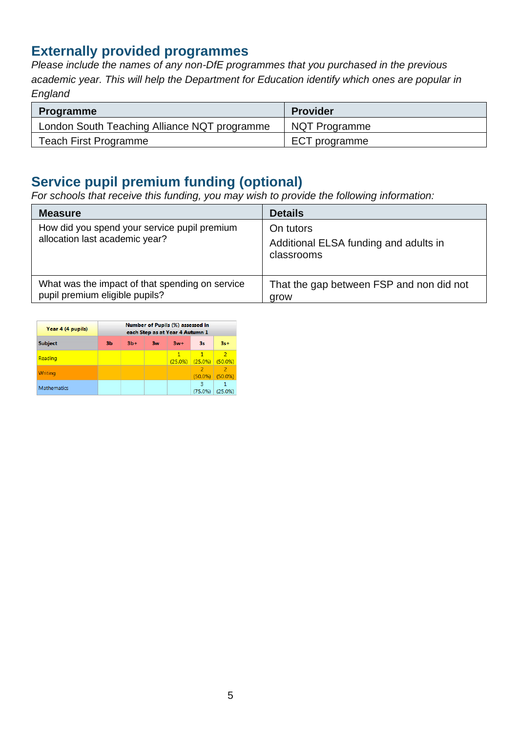# **Externally provided programmes**

*Please include the names of any non-DfE programmes that you purchased in the previous academic year. This will help the Department for Education identify which ones are popular in England*

| <b>Programme</b>                             | <b>Provider</b>      |
|----------------------------------------------|----------------------|
| London South Teaching Alliance NQT programme | <b>NQT Programme</b> |
| Teach First Programme                        | ECT programme        |

# **Service pupil premium funding (optional)**

*For schools that receive this funding, you may wish to provide the following information:* 

| <b>Measure</b>                                                                    | <b>Details</b>                                                   |
|-----------------------------------------------------------------------------------|------------------------------------------------------------------|
| How did you spend your service pupil premium<br>allocation last academic year?    | On tutors<br>Additional ELSA funding and adults in<br>classrooms |
| What was the impact of that spending on service<br>pupil premium eligible pupils? | That the gap between FSP and non did not<br>grow                 |

| Year 4 (4 pupils)  | Number of Pupils (%) assessed in<br>each Step as at Year 4 Autumn 1 |                                     |  |              |              |                          |  |  |  |
|--------------------|---------------------------------------------------------------------|-------------------------------------|--|--------------|--------------|--------------------------|--|--|--|
| <b>Subject</b>     | 3b                                                                  | $3s+$<br>$3b+$<br>$3w+$<br>3w<br>3s |  |              |              |                          |  |  |  |
| Reading            |                                                                     |                                     |  | 1<br>(25.0%) | 1<br>(25.0%) | $\overline{2}$<br>(50.0% |  |  |  |
| <b>Writing</b>     |                                                                     |                                     |  |              | 2<br>(50.0%  | $\overline{2}$<br>(50.0% |  |  |  |
| <b>Mathematics</b> |                                                                     |                                     |  |              | 3<br>(75.0%) | (25.0%)                  |  |  |  |